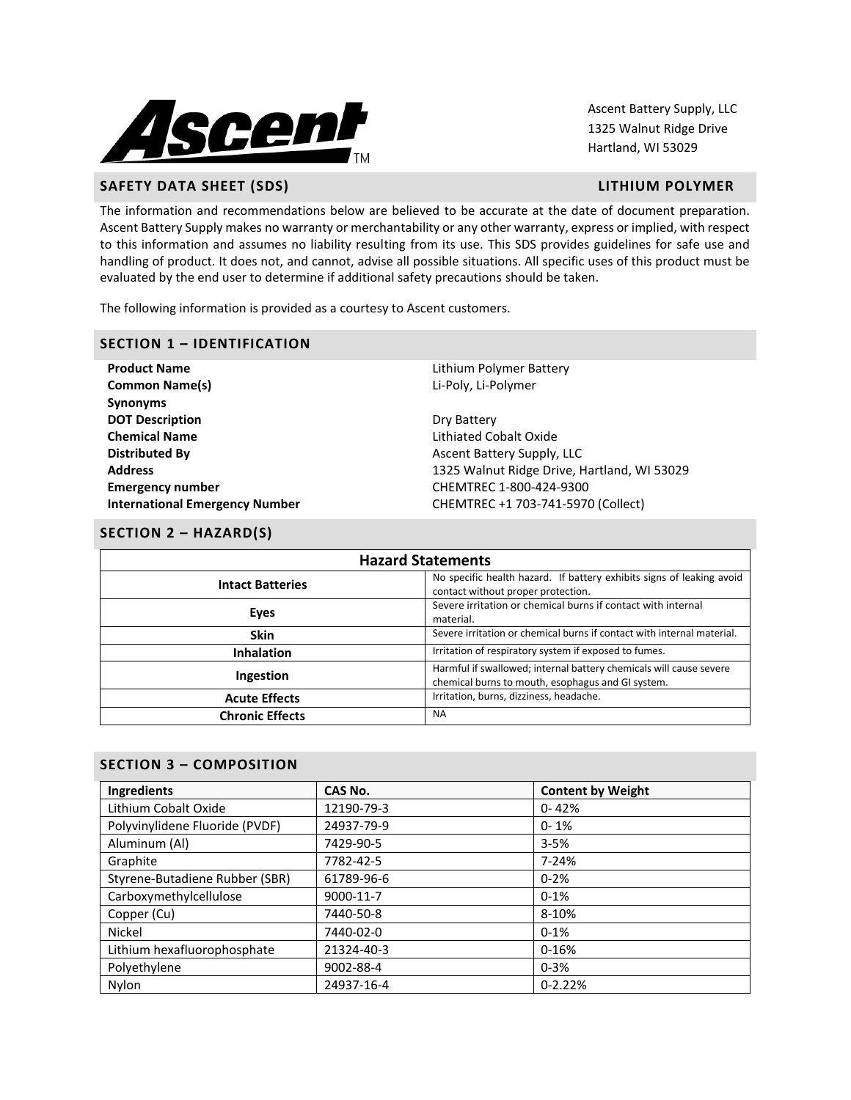

Ascent Battery Supply, LLC 1325 Walnut Ridge Drive Hartland, WI 53029

# **SAFETY DATA SHEET (SDS) LITHIUM POLYMER**

The information and recommendations below are believed to be accurate at the date of document preparation. Ascent Battery Supply makes no warranty or merchantability or any other warranty, express or implied, with respect to this information and assumes no liability resulting from its use. This SDS provides guidelines for safe use and handling of product. It does not, and cannot, advise all possible situations. All specific uses of this product must be evaluated by the end user to determine if additional safety precautions should be taken.

The following information is provided as a courtesy to Ascent customers.

#### **SECTION 1 – IDENTIFICATION**

**Product Name All and Series and Series and Series and Lithium Polymer Battery Common Name(s)** Li-Poly, Li-Polymer **Synonyms DOT Description** Dry Battery **Chemical Name** Lithiated Cobalt Oxide **Distributed By Assume Assume Asset Battery Supply, LLC Emergency number** CHEMTREC 1-800-424-9300

**Address** 1325 Walnut Ridge Drive, Hartland, WI 53029 **International Emergency Number** CHEMTREC +1 703-741-5970 (Collect)

#### **SECTION 2 – HAZARD(S)**

| <b>Hazard Statements</b> |                                                                                                                         |  |  |
|--------------------------|-------------------------------------------------------------------------------------------------------------------------|--|--|
| <b>Intact Batteries</b>  | No specific health hazard. If battery exhibits signs of leaking avoid<br>contact without proper protection.             |  |  |
| Eyes                     | Severe irritation or chemical burns if contact with internal<br>material.                                               |  |  |
| <b>Skin</b>              | Severe irritation or chemical burns if contact with internal material.                                                  |  |  |
| <b>Inhalation</b>        | Irritation of respiratory system if exposed to fumes.                                                                   |  |  |
| Ingestion                | Harmful if swallowed; internal battery chemicals will cause severe<br>chemical burns to mouth, esophagus and GI system. |  |  |
| <b>Acute Effects</b>     | Irritation, burns, dizziness, headache.                                                                                 |  |  |
| <b>Chronic Effects</b>   | <b>NA</b>                                                                                                               |  |  |

# **SECTION 3 – COMPOSITION**

| Ingredients                    | CAS No.               | <b>Content by Weight</b> |  |
|--------------------------------|-----------------------|--------------------------|--|
| Lithium Cobalt Oxide           | 12190-79-3            | $0 - 42%$                |  |
| Polyvinylidene Fluoride (PVDF) | 24937-79-9            | $0 - 1%$                 |  |
| Aluminum (Al)                  | 7429-90-5<br>$3 - 5%$ |                          |  |
| Graphite                       | 7782-42-5             | $7 - 24%$                |  |
| Styrene-Butadiene Rubber (SBR) | 61789-96-6            | $0 - 2%$                 |  |
| Carboxymethylcellulose         | 9000-11-7             | $0-1%$                   |  |
| Copper (Cu)                    | 7440-50-8             | 8-10%                    |  |
| Nickel                         | 7440-02-0             | $0-1%$                   |  |
| Lithium hexafluorophosphate    | 21324-40-3            | $0 - 16%$                |  |
| Polyethylene                   | 9002-88-4             | $0 - 3%$                 |  |
| Nylon                          | 24937-16-4            | $0 - 2.22%$              |  |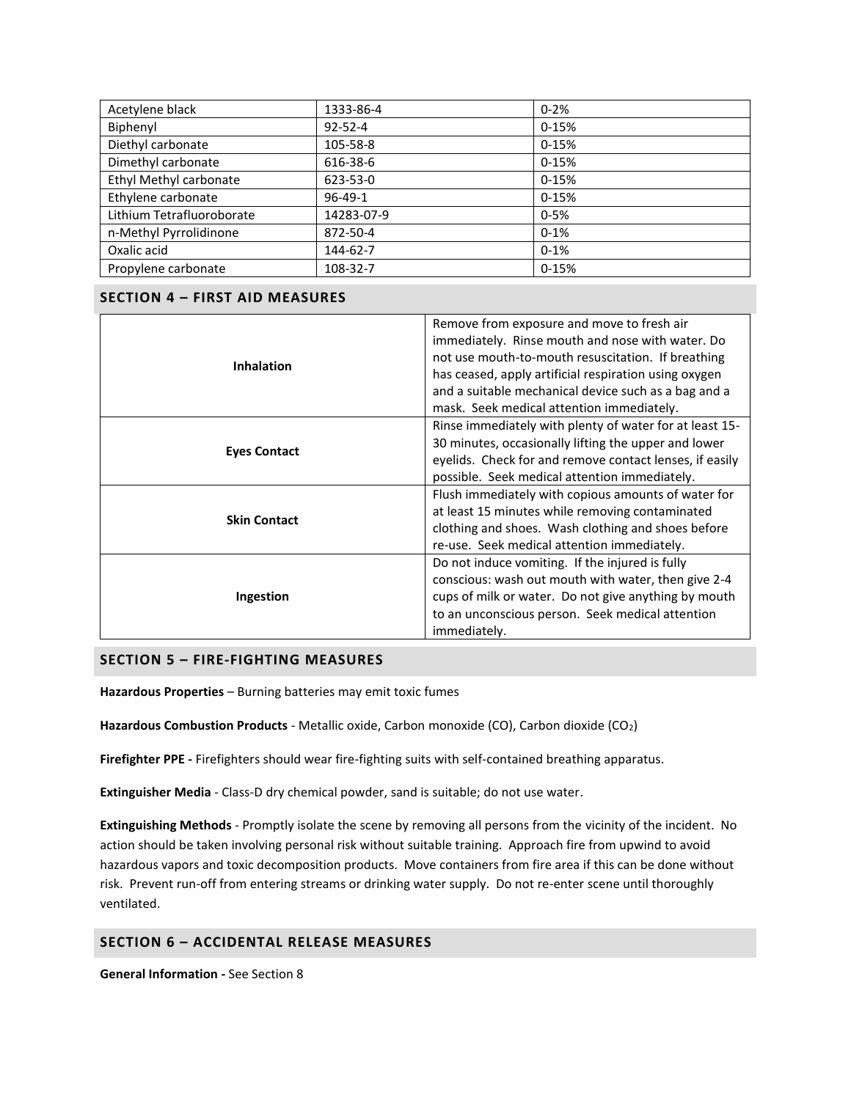| Acetylene black           | 1333-86-4     | $0 - 2%$  |
|---------------------------|---------------|-----------|
| Biphenyl                  | $92 - 52 - 4$ | $0-15%$   |
| Diethyl carbonate         | 105-58-8      | $0 - 15%$ |
| Dimethyl carbonate        | 616-38-6      | $0-15%$   |
| Ethyl Methyl carbonate    | 623-53-0      | $0-15%$   |
| Ethylene carbonate        | $96 - 49 - 1$ | $0-15%$   |
| Lithium Tetrafluoroborate | 14283-07-9    | $0 - 5%$  |
| n-Methyl Pyrrolidinone    | 872-50-4      | $0-1%$    |
| Oxalic acid               | 144-62-7      | $0 - 1%$  |
| Propylene carbonate       | 108-32-7      | $0-15%$   |

# **SECTION 4 – FIRST AID MEASURES**

|                     | Remove from exposure and move to fresh air              |  |  |
|---------------------|---------------------------------------------------------|--|--|
| <b>Inhalation</b>   | immediately. Rinse mouth and nose with water. Do        |  |  |
|                     | not use mouth-to-mouth resuscitation. If breathing      |  |  |
|                     | has ceased, apply artificial respiration using oxygen   |  |  |
|                     | and a suitable mechanical device such as a bag and a    |  |  |
|                     | mask. Seek medical attention immediately.               |  |  |
|                     | Rinse immediately with plenty of water for at least 15- |  |  |
| <b>Eyes Contact</b> | 30 minutes, occasionally lifting the upper and lower    |  |  |
|                     | eyelids. Check for and remove contact lenses, if easily |  |  |
|                     | possible. Seek medical attention immediately.           |  |  |
|                     | Flush immediately with copious amounts of water for     |  |  |
| <b>Skin Contact</b> | at least 15 minutes while removing contaminated         |  |  |
|                     | clothing and shoes. Wash clothing and shoes before      |  |  |
|                     | re-use. Seek medical attention immediately.             |  |  |
|                     | Do not induce vomiting. If the injured is fully         |  |  |
|                     | conscious: wash out mouth with water, then give 2-4     |  |  |
| Ingestion           | cups of milk or water. Do not give anything by mouth    |  |  |
|                     | to an unconscious person. Seek medical attention        |  |  |
|                     | immediately.                                            |  |  |

# **SECTION 5 – FIRE-FIGHTING MEASURES**

**Hazardous Properties** – Burning batteries may emit toxic fumes

**Hazardous Combustion Products** - Metallic oxide, Carbon monoxide (CO), Carbon dioxide (CO2)

**Firefighter PPE -** Firefighters should wear fire-fighting suits with self-contained breathing apparatus.

**Extinguisher Media** - Class-D dry chemical powder, sand is suitable; do not use water.

**Extinguishing Methods** - Promptly isolate the scene by removing all persons from the vicinity of the incident. No action should be taken involving personal risk without suitable training. Approach fire from upwind to avoid hazardous vapors and toxic decomposition products. Move containers from fire area if this can be done without risk. Prevent run-off from entering streams or drinking water supply. Do not re-enter scene until thoroughly ventilated.

# **SECTION 6 – ACCIDENTAL RELEASE MEASURES**

**General Information -** See Section 8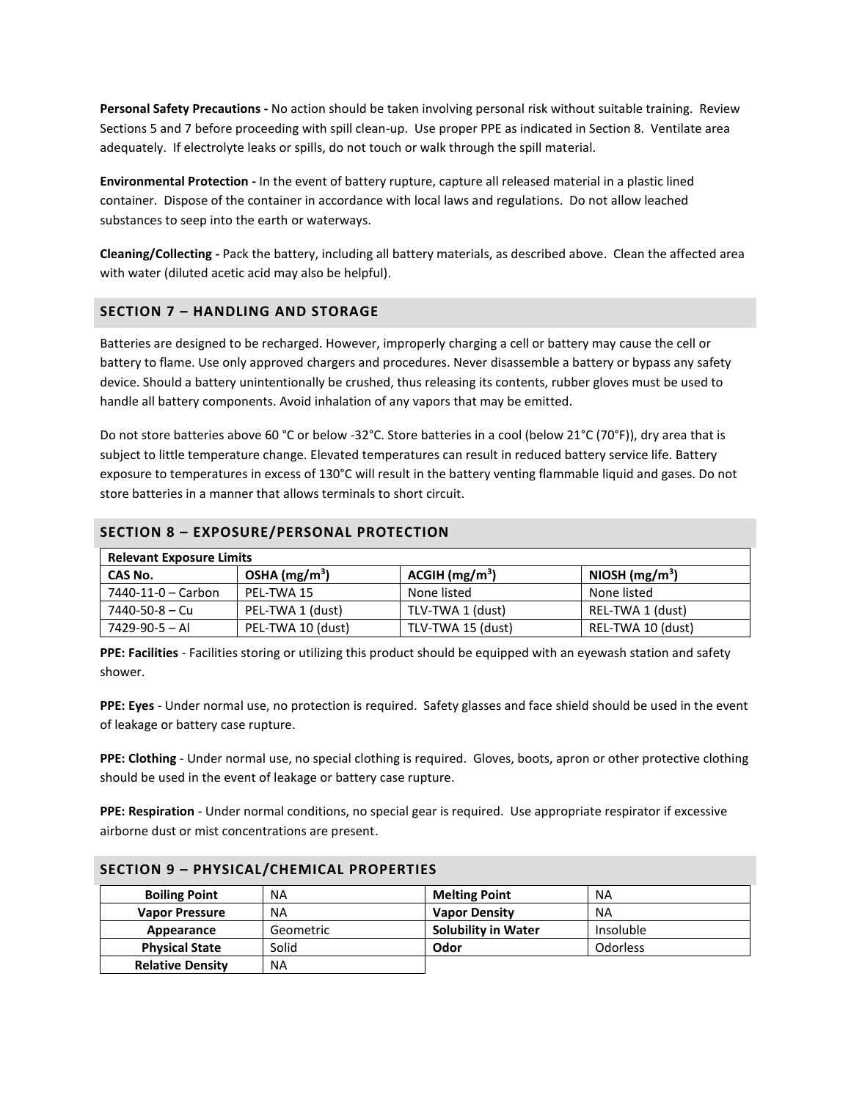**Personal Safety Precautions -** No action should be taken involving personal risk without suitable training. Review Sections 5 and 7 before proceeding with spill clean-up. Use proper PPE as indicated in Section 8. Ventilate area adequately. If electrolyte leaks or spills, do not touch or walk through the spill material.

**Environmental Protection -** In the event of battery rupture, capture all released material in a plastic lined container. Dispose of the container in accordance with local laws and regulations. Do not allow leached substances to seep into the earth or waterways.

**Cleaning/Collecting -** Pack the battery, including all battery materials, as described above. Clean the affected area with water (diluted acetic acid may also be helpful).

## **SECTION 7 – HANDLING AND STORAGE**

Batteries are designed to be recharged. However, improperly charging a cell or battery may cause the cell or battery to flame. Use only approved chargers and procedures. Never disassemble a battery or bypass any safety device. Should a battery unintentionally be crushed, thus releasing its contents, rubber gloves must be used to handle all battery components. Avoid inhalation of any vapors that may be emitted.

Do not store batteries above 60 °C or below -32°C. Store batteries in a cool (below 21°C (70°F)), dry area that is subject to little temperature change. Elevated temperatures can result in reduced battery service life. Battery exposure to temperatures in excess of 130°C will result in the battery venting flammable liquid and gases. Do not store batteries in a manner that allows terminals to short circuit.

| l. Belevesk Funesma Limita.                     |  |
|-------------------------------------------------|--|
| <b>SECTION 8 - EXPOSURE/PERSONAL PROTECTION</b> |  |

| <b>Relevant Exposure Limits</b> |                   |                             |                   |  |
|---------------------------------|-------------------|-----------------------------|-------------------|--|
| CAS No.                         | OSHA $(mg/m3)$    | $ACGH$ (mg/m <sup>3</sup> ) | NIOSH $(mg/m3)$   |  |
| 7440-11-0 – Carbon              | PEL-TWA 15        | None listed                 | None listed       |  |
| 7440-50-8 – Cu                  | PEL-TWA 1 (dust)  | TLV-TWA 1 (dust)            | REL-TWA 1 (dust)  |  |
| 7429-90-5 - Al                  | PEL-TWA 10 (dust) | TLV-TWA 15 (dust)           | REL-TWA 10 (dust) |  |

**PPE: Facilities** - Facilities storing or utilizing this product should be equipped with an eyewash station and safety shower.

**PPE: Eyes** - Under normal use, no protection is required. Safety glasses and face shield should be used in the event of leakage or battery case rupture.

**PPE: Clothing** - Under normal use, no special clothing is required. Gloves, boots, apron or other protective clothing should be used in the event of leakage or battery case rupture.

**PPE: Respiration** - Under normal conditions, no special gear is required. Use appropriate respirator if excessive airborne dust or mist concentrations are present.

| <b>Boiling Point</b>    | <b>NA</b> | <b>Melting Point</b>       | <b>NA</b>       |
|-------------------------|-----------|----------------------------|-----------------|
| <b>Vapor Pressure</b>   | <b>NA</b> | <b>Vapor Density</b>       | <b>NA</b>       |
| Appearance              | Geometric | <b>Solubility in Water</b> | Insoluble       |
| <b>Physical State</b>   | Solid     | Odor                       | <b>Odorless</b> |
| <b>Relative Density</b> | <b>NA</b> |                            |                 |

#### **SECTION 9 – PHYSICAL/CHEMICAL PROPERTIES**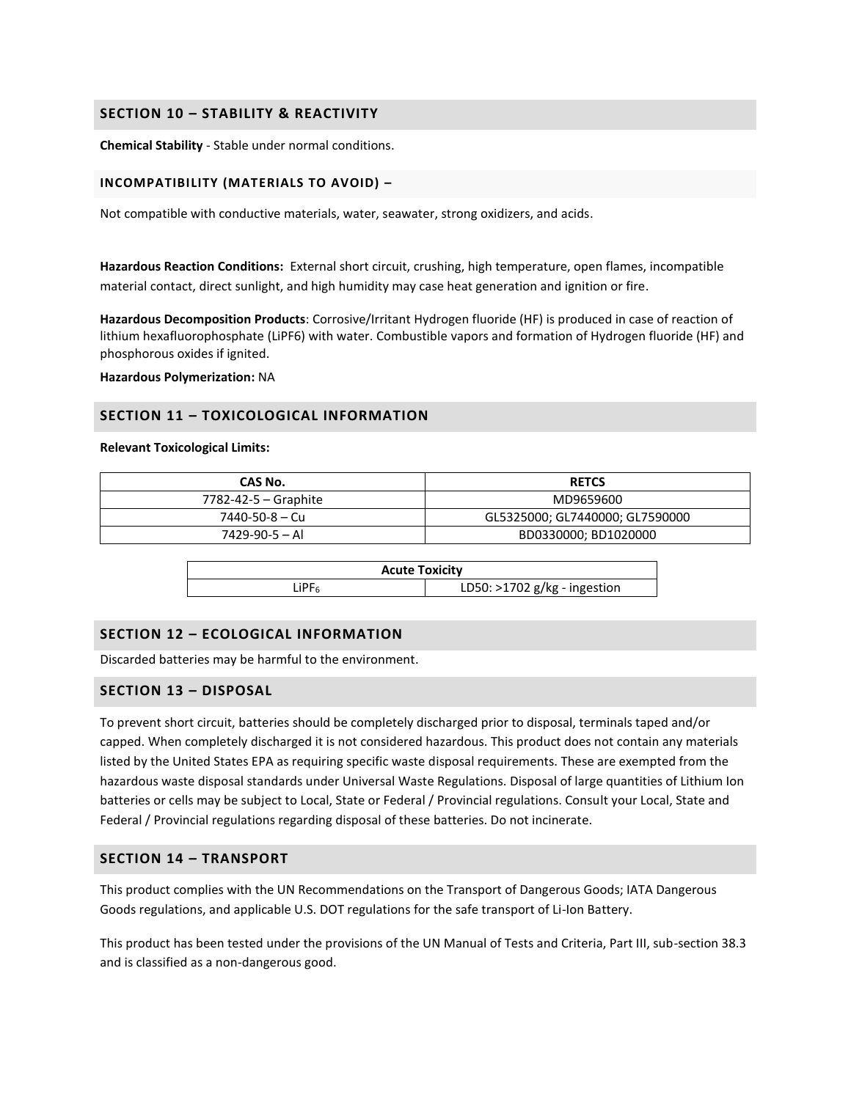## **SECTION 10 – STABILITY & REACTIVITY**

**Chemical Stability** - Stable under normal conditions.

#### **INCOMPATIBILITY (MATERIALS TO AVOID) –**

Not compatible with conductive materials, water, seawater, strong oxidizers, and acids.

**Hazardous Reaction Conditions:** External short circuit, crushing, high temperature, open flames, incompatible material contact, direct sunlight, and high humidity may case heat generation and ignition or fire.

**Hazardous Decomposition Products**: Corrosive/Irritant Hydrogen fluoride (HF) is produced in case of reaction of lithium hexafluorophosphate (LiPF6) with water. Combustible vapors and formation of Hydrogen fluoride (HF) and phosphorous oxides if ignited.

**Hazardous Polymerization:** NA

## **SECTION 11 – TOXICOLOGICAL INFORMATION**

**Relevant Toxicological Limits:**

| CAS No.              | <b>RETCS</b>                    |
|----------------------|---------------------------------|
| 7782-42-5 – Graphite | MD9659600                       |
| 7440-50-8 — Cu       | GL5325000; GL7440000; GL7590000 |
| $7429 - 90 - 5 - Al$ | BD0330000; BD1020000            |

| <b>Acute Toxicity</b> |                                |  |  |
|-----------------------|--------------------------------|--|--|
| LiPF                  | LD50: $>1702$ g/kg - ingestion |  |  |

## **SECTION 12 – ECOLOGICAL INFORMATION**

Discarded batteries may be harmful to the environment.

#### **SECTION 13 – DISPOSAL**

To prevent short circuit, batteries should be completely discharged prior to disposal, terminals taped and/or capped. When completely discharged it is not considered hazardous. This product does not contain any materials listed by the United States EPA as requiring specific waste disposal requirements. These are exempted from the hazardous waste disposal standards under Universal Waste Regulations. Disposal of large quantities of Lithium Ion batteries or cells may be subject to Local, State or Federal / Provincial regulations. Consult your Local, State and Federal / Provincial regulations regarding disposal of these batteries. Do not incinerate.

# **SECTION 14 – TRANSPORT**

This product complies with the UN Recommendations on the Transport of Dangerous Goods; IATA Dangerous Goods regulations, and applicable U.S. DOT regulations for the safe transport of Li-Ion Battery.

This product has been tested under the provisions of the UN Manual of Tests and Criteria, Part III, sub-section 38.3 and is classified as a non-dangerous good.